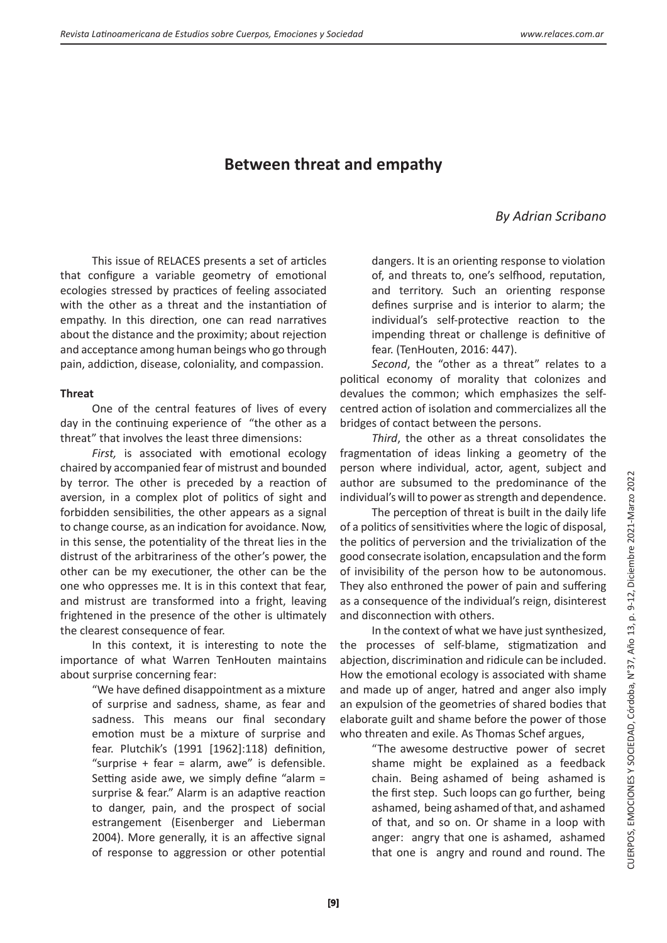# **Between threat and empathy**

# *By Adrian Scribano*

This issue of RELACES presents a set of articles that configure a variable geometry of emotional ecologies stressed by practices of feeling associated with the other as a threat and the instantiation of empathy. In this direction, one can read narratives about the distance and the proximity; about rejection and acceptance among human beings who go through pain, addiction, disease, coloniality, and compassion.

#### **Threat**

One of the central features of lives of every day in the continuing experience of "the other as a threat" that involves the least three dimensions:

*First,* is associated with emotional ecology chaired by accompanied fear of mistrust and bounded by terror. The other is preceded by a reaction of aversion, in a complex plot of politics of sight and forbidden sensibilities, the other appears as a signal to change course, as an indication for avoidance. Now, in this sense, the potentiality of the threat lies in the distrust of the arbitrariness of the other's power, the other can be my executioner, the other can be the one who oppresses me. It is in this context that fear, and mistrust are transformed into a fright, leaving frightened in the presence of the other is ultimately the clearest consequence of fear.

In this context, it is interesting to note the importance of what Warren TenHouten maintains about surprise concerning fear:

> "We have defined disappointment as a mixture of surprise and sadness, shame, as fear and sadness. This means our final secondary emotion must be a mixture of surprise and fear. Plutchik's (1991 [1962]:118) definition, "surprise  $+$  fear  $=$  alarm, awe" is defensible. Setting aside awe, we simply define "alarm = surprise & fear." Alarm is an adaptive reaction to danger, pain, and the prospect of social estrangement (Eisenberger and Lieberman 2004). More generally, it is an affective signal of response to aggression or other potential

dangers. It is an orienting response to violation of, and threats to, one's selfhood, reputation, and territory. Such an orienting response defines surprise and is interior to alarm; the individual's self-protective reaction to the impending threat or challenge is definitive of fear. (TenHouten, 2016: 447).

*Second*, the "other as a threat" relates to a political economy of morality that colonizes and devalues the common; which emphasizes the selfcentred action of isolation and commercializes all the bridges of contact between the persons.

*Third*, the other as a threat consolidates the fragmentation of ideas linking a geometry of the person where individual, actor, agent, subject and author are subsumed to the predominance of the individual's will to power as strength and dependence.

The perception of threat is built in the daily life of a politics of sensitivities where the logic of disposal, the politics of perversion and the trivialization of the good consecrate isolation, encapsulation and the form of invisibility of the person how to be autonomous. They also enthroned the power of pain and suffering as a consequence of the individual's reign, disinterest and disconnection with others.

In the context of what we have just synthesized, the processes of self-blame, stigmatization and abjection, discrimination and ridicule can be included. How the emotional ecology is associated with shame and made up of anger, hatred and anger also imply an expulsion of the geometries of shared bodies that elaborate guilt and shame before the power of those who threaten and exile. As Thomas Schef argues,

> "The awesome destructive power of secret shame might be explained as a feedback chain. Being ashamed of being ashamed is the first step. Such loops can go further, being ashamed, being ashamed of that, and ashamed of that, and so on. Or shame in a loop with anger: angry that one is ashamed, ashamed that one is angry and round and round. The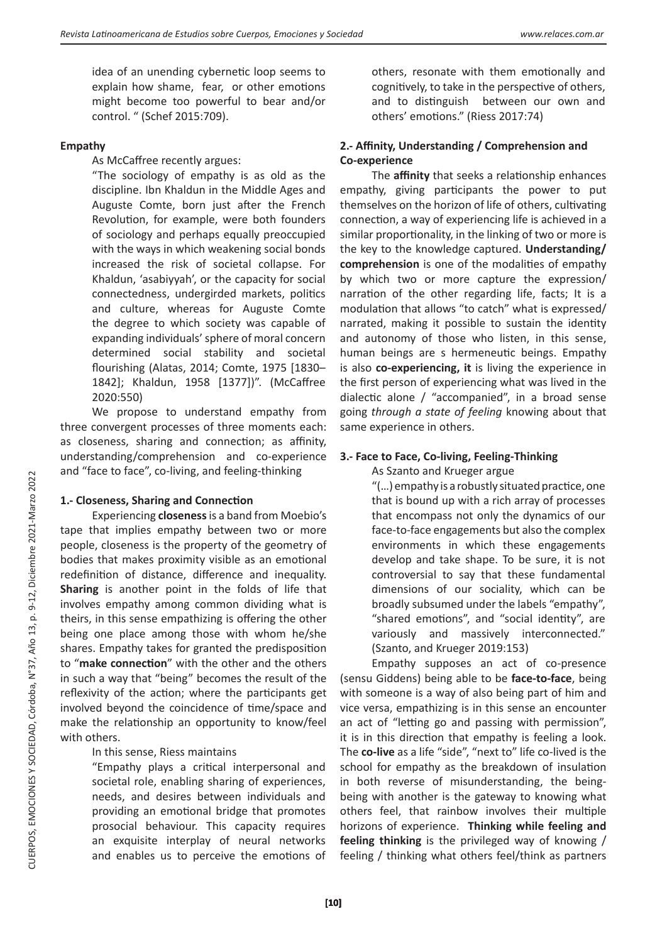idea of an unending cybernetic loop seems to explain how shame, fear, or other emotions might become too powerful to bear and/or control. " (Schef 2015:709).

#### **Empathy**

As McCaffree recently argues:

"The sociology of empathy is as old as the discipline. Ibn Khaldun in the Middle Ages and Auguste Comte, born just after the French Revolution, for example, were both founders of sociology and perhaps equally preoccupied with the ways in which weakening social bonds increased the risk of societal collapse. For Khaldun, 'asabiyyah', or the capacity for social connectedness, undergirded markets, politics and culture, whereas for Auguste Comte the degree to which society was capable of expanding individuals' sphere of moral concern determined social stability and societal flourishing (Alatas, 2014; Comte, 1975 [1830– 1842]; Khaldun, 1958 [1377])". (McCaffree 2020:550)

We propose to understand empathy from three convergent processes of three moments each: as closeness, sharing and connection; as affinity, understanding/comprehension and co-experience and "face to face", co-living, and feeling-thinking

#### **1.- Closeness, Sharing and Connection**

Experiencing **closeness** is a band from Moebio's tape that implies empathy between two or more people, closeness is the property of the geometry of bodies that makes proximity visible as an emotional redefinition of distance, difference and inequality. **Sharing** is another point in the folds of life that involves empathy among common dividing what is theirs, in this sense empathizing is offering the other being one place among those with whom he/she shares. Empathy takes for granted the predisposition to "**make connection**" with the other and the others in such a way that "being" becomes the result of the reflexivity of the action; where the participants get involved beyond the coincidence of time/space and make the relationship an opportunity to know/feel with others.

## In this sense, Riess maintains

"Empathy plays a critical interpersonal and societal role, enabling sharing of experiences, needs, and desires between individuals and providing an emotional bridge that promotes prosocial behaviour. This capacity requires an exquisite interplay of neural networks and enables us to perceive the emotions of

others, resonate with them emotionally and cognitively, to take in the perspective of others, and to distinguish between our own and others' emotions." (Riess 2017:74)

### **2.- Affinity, Understanding / Comprehension and Co-experience**

The **affinity** that seeks a relationship enhances empathy, giving participants the power to put themselves on the horizon of life of others, cultivating connection, a way of experiencing life is achieved in a similar proportionality, in the linking of two or more is the key to the knowledge captured. **Understanding/ comprehension** is one of the modalities of empathy by which two or more capture the expression/ narration of the other regarding life, facts; It is a modulation that allows "to catch" what is expressed/ narrated, making it possible to sustain the identity and autonomy of those who listen, in this sense, human beings are s hermeneutic beings. Empathy is also **co-experiencing, it** is living the experience in the first person of experiencing what was lived in the dialectic alone / "accompanied", in a broad sense going *through a state of feeling* knowing about that same experience in others.

# **3.- Face to Face, Co-living, Feeling-Thinking**

As Szanto and Krueger argue

"(…) empathy is a robustly situated practice, one that is bound up with a rich array of processes that encompass not only the dynamics of our face-to-face engagements but also the complex environments in which these engagements develop and take shape. To be sure, it is not controversial to say that these fundamental dimensions of our sociality, which can be broadly subsumed under the labels "empathy", "shared emotions", and "social identity", are variously and massively interconnected." (Szanto, and Krueger 2019:153)

Empathy supposes an act of co-presence (sensu Giddens) being able to be **face-to-face**, being with someone is a way of also being part of him and vice versa, empathizing is in this sense an encounter an act of "letting go and passing with permission", it is in this direction that empathy is feeling a look. The **co-live** as a life "side", "next to" life co-lived is the school for empathy as the breakdown of insulation in both reverse of misunderstanding, the beingbeing with another is the gateway to knowing what others feel, that rainbow involves their multiple horizons of experience. **Thinking while feeling and feeling thinking** is the privileged way of knowing / feeling / thinking what others feel/think as partners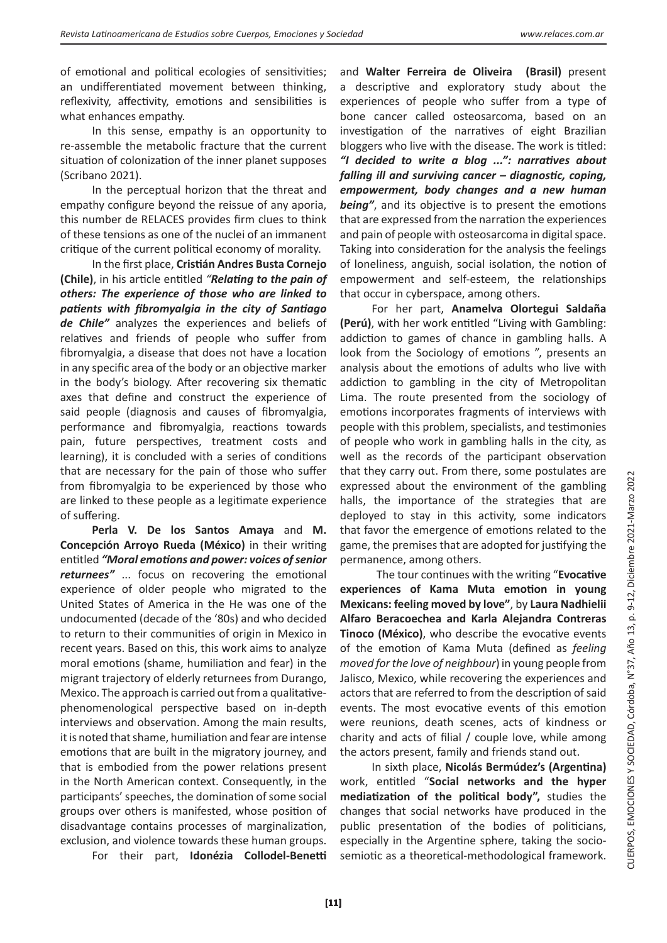of emotional and political ecologies of sensitivities; an undifferentiated movement between thinking, reflexivity, affectivity, emotions and sensibilities is what enhances empathy.

In this sense, empathy is an opportunity to re-assemble the metabolic fracture that the current situation of colonization of the inner planet supposes (Scribano 2021).

In the perceptual horizon that the threat and empathy configure beyond the reissue of any aporia, this number de RELACES provides firm clues to think of these tensions as one of the nuclei of an immanent critique of the current political economy of morality.

In the first place, **Cristián Andres Busta Cornejo (Chile)**, in his article entitled *"Relating to the pain of others: The experience of those who are linked to patients with fibromyalgia in the city of Santiago de Chile"* analyzes the experiences and beliefs of relatives and friends of people who suffer from fibromyalgia, a disease that does not have a location in any specific area of the body or an objective marker in the body's biology. After recovering six thematic axes that define and construct the experience of said people (diagnosis and causes of fibromyalgia, performance and fibromyalgia, reactions towards pain, future perspectives, treatment costs and learning), it is concluded with a series of conditions that are necessary for the pain of those who suffer from fibromyalgia to be experienced by those who are linked to these people as a legitimate experience of suffering.

**Perla V. De los Santos Amaya** and **M. Concepción Arroyo Rueda (México)** in their writing entitled *"Moral emotions and power: voices of senior returnees"* ... focus on recovering the emotional experience of older people who migrated to the United States of America in the He was one of the undocumented (decade of the '80s) and who decided to return to their communities of origin in Mexico in recent years. Based on this, this work aims to analyze moral emotions (shame, humiliation and fear) in the migrant trajectory of elderly returnees from Durango, Mexico. The approach is carried out from a qualitativephenomenological perspective based on in-depth interviews and observation. Among the main results, it is noted that shame, humiliation and fear are intense emotions that are built in the migratory journey, and that is embodied from the power relations present in the North American context. Consequently, in the participants' speeches, the domination of some social groups over others is manifested, whose position of disadvantage contains processes of marginalization, exclusion, and violence towards these human groups. For their part, **Idonézia Collodel-Benetti** 

and **Walter Ferreira de Oliveira (Brasil)** present a descriptive and exploratory study about the experiences of people who suffer from a type of bone cancer called osteosarcoma, based on an investigation of the narratives of eight Brazilian bloggers who live with the disease. The work is titled: *"I decided to write a blog ...": narratives about falling ill and surviving cancer – diagnostic, coping, empowerment, body changes and a new human being"*, and its objective is to present the emotions that are expressed from the narration the experiences and pain of people with osteosarcoma in digital space. Taking into consideration for the analysis the feelings of loneliness, anguish, social isolation, the notion of empowerment and self-esteem, the relationships that occur in cyberspace, among others.

For her part, **Anamelva Olortegui Saldaña (Perú)**, with her work entitled "Living with Gambling: addiction to games of chance in gambling halls. A look from the Sociology of emotions ", presents an analysis about the emotions of adults who live with addiction to gambling in the city of Metropolitan Lima. The route presented from the sociology of emotions incorporates fragments of interviews with people with this problem, specialists, and testimonies of people who work in gambling halls in the city, as well as the records of the participant observation that they carry out. From there, some postulates are expressed about the environment of the gambling halls, the importance of the strategies that are deployed to stay in this activity, some indicators that favor the emergence of emotions related to the game, the premises that are adopted for justifying the permanence, among others.

 The tour continues with the writing "**Evocative experiences of Kama Muta emotion in young Mexicans: feeling moved by love"**, by **Laura Nadhielii Alfaro Beracoechea and Karla Alejandra Contreras Tinoco (México)**, who describe the evocative events of the emotion of Kama Muta (defined as *feeling moved for the love of neighbour*) in young people from Jalisco, Mexico, while recovering the experiences and actors that are referred to from the description of said events. The most evocative events of this emotion were reunions, death scenes, acts of kindness or charity and acts of filial / couple love, while among the actors present, family and friends stand out.

In sixth place, **Nicolás Bermúdez's (Argentina)** work, entitled "**Social networks and the hyper mediatization of the political body",** studies the changes that social networks have produced in the public presentation of the bodies of politicians, especially in the Argentine sphere, taking the sociosemiotic as a theoretical-methodological framework.